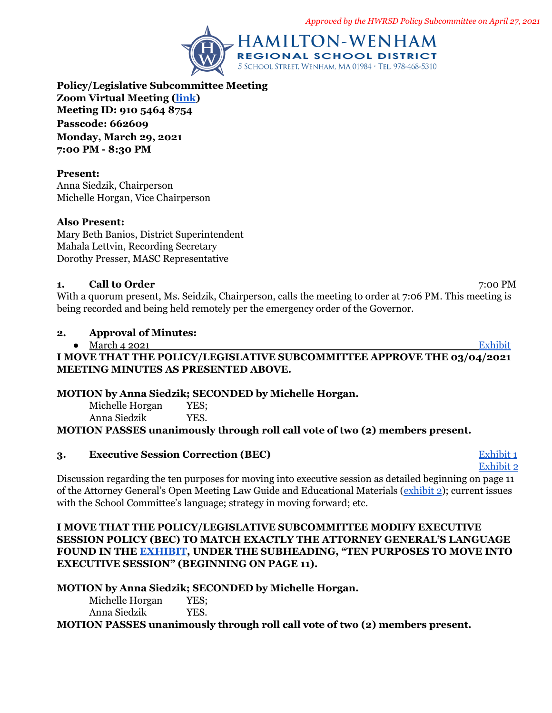*Approved by the HWRSD Policy Subcommittee on April 27, 2021*



**Policy/Legislative Subcommittee Meeting Zoom Virtual Meeting ([link](https://zoom.us/j/91054648754?pwd=cTVodk1IeUJYd24xak1JUE53SER4dz09)) Meeting ID: 910 5464 8754 Passcode: 662609 Monday, March 29, 2021 7:00 PM - 8:30 PM**

#### **Present:**

Anna Siedzik, Chairperson Michelle Horgan, Vice Chairperson

#### **Also Present:**

Mary Beth Banios, District Superintendent Mahala Lettvin, Recording Secretary Dorothy Presser, MASC Representative

# **1.** Call to Order 7:00 PM

With a quorum present, Ms. Seidzik, Chairperson, calls the meeting to order at 7:06 PM. This meeting is being recorded and being held remotely per the emergency order of the Governor.

#### **2. Approval of Minutes:**

● March 4 2021 **[Exhibit](https://drive.google.com/file/d/15Jz3TkEL83h3XsM0Fm40JDHV-YiCGeh0/view?usp=sharing)** 

## **I MOVE THAT THE POLICY/LEGISLATIVE SUBCOMMITTEE APPROVE THE 03/04/2021 MEETING MINUTES AS PRESENTED ABOVE.**

## **MOTION by Anna Siedzik; SECONDED by Michelle Horgan.**

Michelle Horgan YES; Anna Siedzik YES.

**MOTION PASSES unanimously through roll call vote of two (2) members present.**

## **3. Executive Session Correction (BEC)** [Exhibit 1](https://drive.google.com/file/d/1j54gBH7bFrECvqT6fijuT3twALV0XrTf/view?usp=sharing)

[Exhibit 2](https://www.mass.gov/doc/open-meeting-law-guide-and-educational-materials-0/download) Discussion regarding the ten purposes for moving into executive session as detailed beginning on page 11 of the Attorney General's Open Meeting Law Guide and Educational Materials ([exhibit 2](https://www.mass.gov/doc/open-meeting-law-guide-and-educational-materials-0/download)); current issues with the School Committee's language; strategy in moving forward; etc.

#### **I MOVE THAT THE POLICY/LEGISLATIVE SUBCOMMITTEE MODIFY EXECUTIVE SESSION POLICY (BEC) TO MATCH EXACTLY THE ATTORNEY GENERAL'S LANGUAGE FOUND IN THE [EXHIBIT](https://www.mass.gov/doc/open-meeting-law-guide-and-educational-materials-0/download), UNDER THE SUBHEADING, "TEN PURPOSES TO MOVE INTO EXECUTIVE SESSION" (BEGINNING ON PAGE 11).**

## **MOTION by Anna Siedzik; SECONDED by Michelle Horgan.**

Michelle Horgan YES: Anna Siedzik YES.

**MOTION PASSES unanimously through roll call vote of two (2) members present.**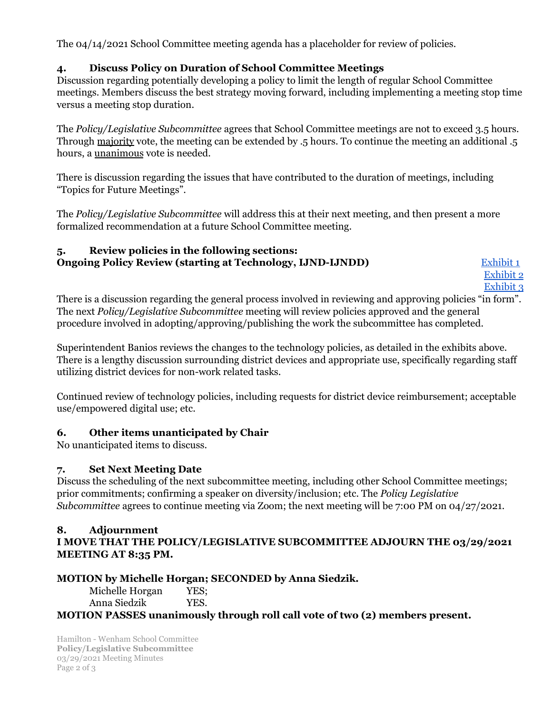The 04/14/2021 School Committee meeting agenda has a placeholder for review of policies.

## **4. Discuss Policy on Duration of School Committee Meetings**

Discussion regarding potentially developing a policy to limit the length of regular School Committee meetings. Members discuss the best strategy moving forward, including implementing a meeting stop time versus a meeting stop duration.

The *Policy/Legislative Subcommittee* agrees that School Committee meetings are not to exceed 3.5 hours. Through majority vote, the meeting can be extended by .5 hours. To continue the meeting an additional .5 hours, a unanimous vote is needed.

There is discussion regarding the issues that have contributed to the duration of meetings, including "Topics for Future Meetings".

The *Policy/Legislative Subcommittee* will address this at their next meeting, and then present a more formalized recommendation at a future School Committee meeting.

## **5. Review policies in the following sections: Ongoing Policy Review (starting at Technology, IJND-IJNDD)** [Exhibit](https://drive.google.com/file/d/1JJZiET4XKCVsVRulE_LzKsMcd-q-sMNw/view?usp=sharing) 1

[Exhibit](https://drive.google.com/file/d/1Uacz6mRw28J5UJlfAs7LO4XH8Qz64sMz/view?usp=sharing) 2 [Exhibit](https://drive.google.com/file/d/1TLtXmcQ1FTtx5CD3g3_AgtakeBDmmIHu/view?usp=sharing) 3

There is a discussion regarding the general process involved in reviewing and approving policies "in form". The next *Policy/Legislative Subcommittee* meeting will review policies approved and the general procedure involved in adopting/approving/publishing the work the subcommittee has completed.

Superintendent Banios reviews the changes to the technology policies, as detailed in the exhibits above. There is a lengthy discussion surrounding district devices and appropriate use, specifically regarding staff utilizing district devices for non-work related tasks.

Continued review of technology policies, including requests for district device reimbursement; acceptable use/empowered digital use; etc.

## **6. Other items unanticipated by Chair**

No unanticipated items to discuss.

## **7. Set Next Meeting Date**

Discuss the scheduling of the next subcommittee meeting, including other School Committee meetings; prior commitments; confirming a speaker on diversity/inclusion; etc. The *Policy Legislative Subcommittee* agrees to continue meeting via Zoom; the next meeting will be 7:00 PM on 04/27/2021.

# **8. Adjournment**

**I MOVE THAT THE POLICY/LEGISLATIVE SUBCOMMITTEE ADJOURN THE 03/29/2021 MEETING AT 8:35 PM.**

## **MOTION by Michelle Horgan; SECONDED by Anna Siedzik.**

Michelle Horgan YES; Anna Siedzik YES.

**MOTION PASSES unanimously through roll call vote of two (2) members present.**

Hamilton - Wenham School Committee **Policy/Legislative Subcommittee** 03/29/2021 Meeting Minutes Page 2 of 3